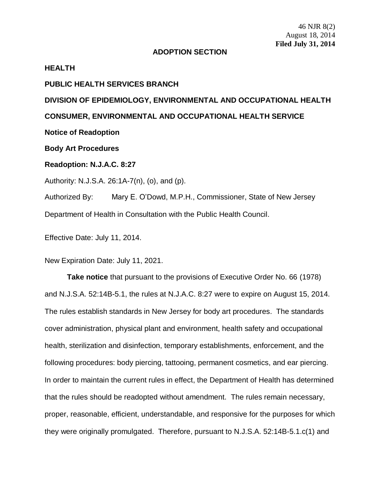## **ADOPTION SECTION**

## **HEALTH**

## **PUBLIC HEALTH SERVICES BRANCH**

## **DIVISION OF EPIDEMIOLOGY, ENVIRONMENTAL AND OCCUPATIONAL HEALTH CONSUMER, ENVIRONMENTAL AND OCCUPATIONAL HEALTH SERVICE Notice of Readoption**

**Body Art Procedures**

**Readoption: N.J.A.C. 8:27**

Authority: N.J.S.A. 26:1A-7(n), (o), and (p).

Authorized By: Mary E. O'Dowd, M.P.H., Commissioner, State of New Jersey Department of Health in Consultation with the Public Health Council.

Effective Date: July 11, 2014.

New Expiration Date: July 11, 2021.

**Take notice** that pursuant to the provisions of Executive Order No. 66 (1978) and N.J.S.A. 52:14B-5.1, the rules at N.J.A.C. 8:27 were to expire on August 15, 2014. The rules establish standards in New Jersey for body art procedures. The standards cover administration, physical plant and environment, health safety and occupational health, sterilization and disinfection, temporary establishments, enforcement, and the following procedures: body piercing, tattooing, permanent cosmetics, and ear piercing. In order to maintain the current rules in effect, the Department of Health has determined that the rules should be readopted without amendment. The rules remain necessary, proper, reasonable, efficient, understandable, and responsive for the purposes for which they were originally promulgated. Therefore, pursuant to N.J.S.A. 52:14B-5.1.c(1) and